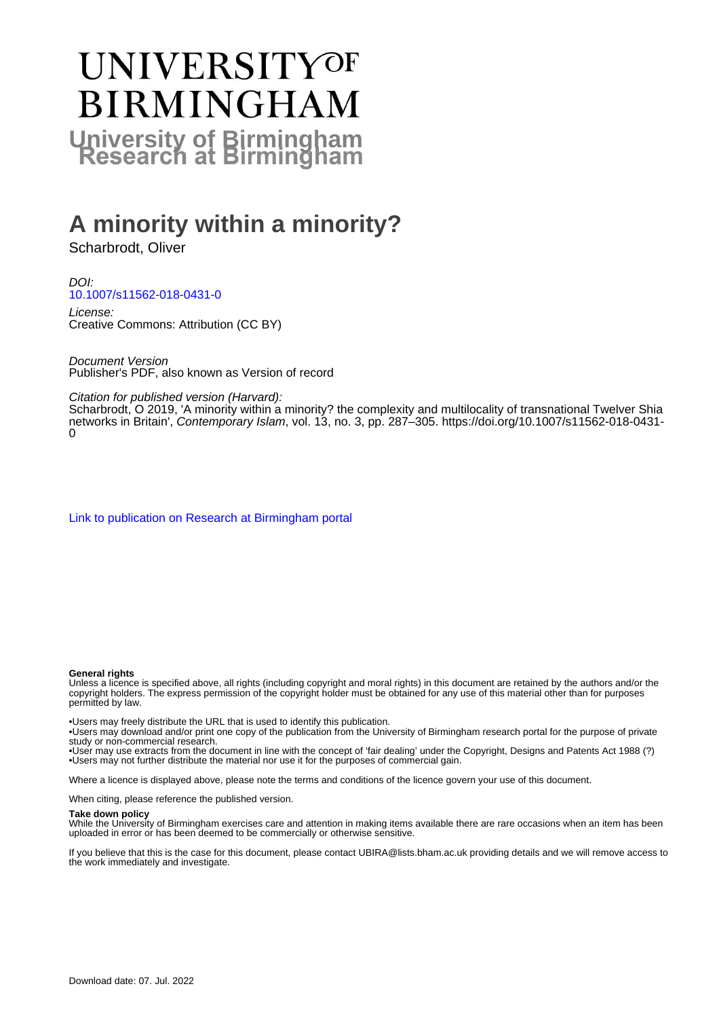# **UNIVERSITYOF BIRMINGHAM University of Birmingham**

## **A minority within a minority?**

Scharbrodt, Oliver

DOI: [10.1007/s11562-018-0431-0](https://doi.org/10.1007/s11562-018-0431-0)

License: Creative Commons: Attribution (CC BY)

Document Version Publisher's PDF, also known as Version of record

Citation for published version (Harvard):

Scharbrodt, O 2019, 'A minority within a minority? the complexity and multilocality of transnational Twelver Shia networks in Britain', Contemporary Islam, vol. 13, no. 3, pp. 287–305. [https://doi.org/10.1007/s11562-018-0431-](https://doi.org/10.1007/s11562-018-0431-0)  $\Omega$ 

[Link to publication on Research at Birmingham portal](https://birmingham.elsevierpure.com/en/publications/b3450705-03ce-4c75-8212-e9572e02fddd)

#### **General rights**

Unless a licence is specified above, all rights (including copyright and moral rights) in this document are retained by the authors and/or the copyright holders. The express permission of the copyright holder must be obtained for any use of this material other than for purposes permitted by law.

• Users may freely distribute the URL that is used to identify this publication.

• Users may download and/or print one copy of the publication from the University of Birmingham research portal for the purpose of private study or non-commercial research.

• User may use extracts from the document in line with the concept of 'fair dealing' under the Copyright, Designs and Patents Act 1988 (?) • Users may not further distribute the material nor use it for the purposes of commercial gain.

Where a licence is displayed above, please note the terms and conditions of the licence govern your use of this document.

When citing, please reference the published version.

#### **Take down policy**

While the University of Birmingham exercises care and attention in making items available there are rare occasions when an item has been uploaded in error or has been deemed to be commercially or otherwise sensitive.

If you believe that this is the case for this document, please contact UBIRA@lists.bham.ac.uk providing details and we will remove access to the work immediately and investigate.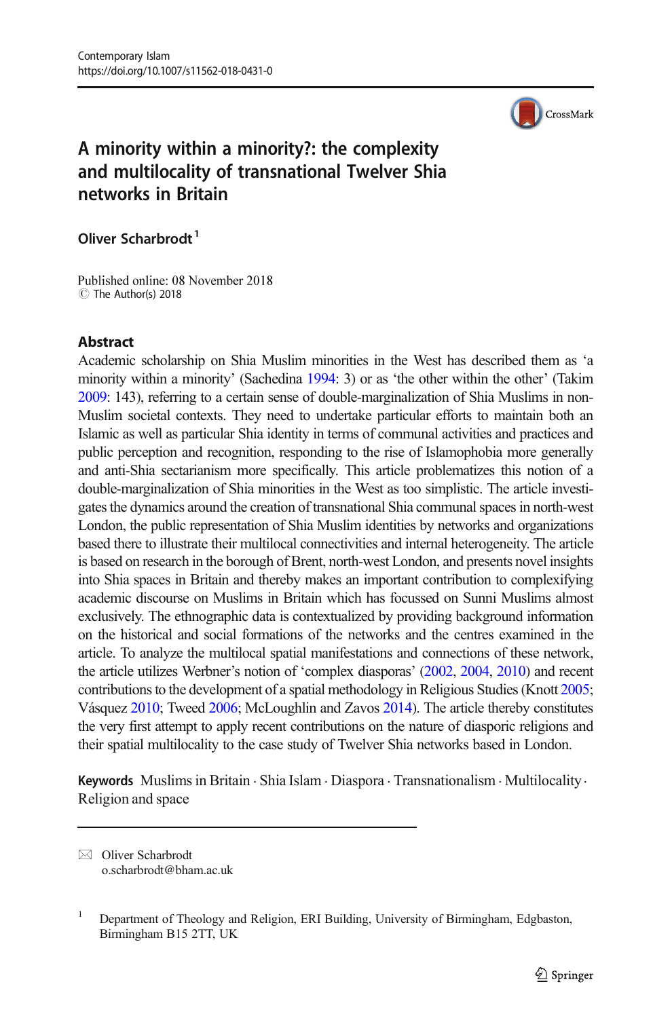

## A minority within a minority?: the complexity and multilocality of transnational Twelver Shia networks in Britain

Oliver Scharbrodt<sup>1</sup>

Published online: 08 November 2018  $\circledcirc$  The Author(s) 2018

#### Abstract

Academic scholarship on Shia Muslim minorities in the West has described them as 'a minority within a minority' (Sachedina [1994](#page-19-0): 3) or as 'the other within the other' (Takim [2009:](#page-19-0) 143), referring to a certain sense of double-marginalization of Shia Muslims in non-Muslim societal contexts. They need to undertake particular efforts to maintain both an Islamic as well as particular Shia identity in terms of communal activities and practices and public perception and recognition, responding to the rise of Islamophobia more generally and anti-Shia sectarianism more specifically. This article problematizes this notion of a double-marginalization of Shia minorities in the West as too simplistic. The article investigates the dynamics around the creation of transnational Shia communal spaces in north-west London, the public representation of Shia Muslim identities by networks and organizations based there to illustrate their multilocal connectivities and internal heterogeneity. The article is based on research in the borough of Brent, north-west London, and presents novel insights into Shia spaces in Britain and thereby makes an important contribution to complexifying academic discourse on Muslims in Britain which has focussed on Sunni Muslims almost exclusively. The ethnographic data is contextualized by providing background information on the historical and social formations of the networks and the centres examined in the article. To analyze the multilocal spatial manifestations and connections of these network, the article utilizes Werbner's notion of 'complex diasporas' ([2002](#page-19-0), [2004](#page-19-0), [2010\)](#page-19-0) and recent contributions to the development of a spatial methodology in Religious Studies (Knott [2005;](#page-19-0) Vásquez [2010](#page-19-0); Tweed [2006](#page-19-0); McLoughlin and Zavos [2014\)](#page-19-0). The article thereby constitutes the very first attempt to apply recent contributions on the nature of diasporic religions and their spatial multilocality to the case study of Twelver Shia networks based in London.

Keywords Muslims in Britain  $\cdot$  Shia Islam  $\cdot$  Diaspora  $\cdot$  Transnationalism  $\cdot$  Multilocality  $\cdot$ Religion and space

 $\boxtimes$  Oliver Scharbrodt [o.scharbrodt@bham.ac.uk](mailto:o.scharbrodt@bham.ac.uk)

<sup>1</sup> Department of Theology and Religion, ERI Building, University of Birmingham, Edgbaston, Birmingham B15 2TT, UK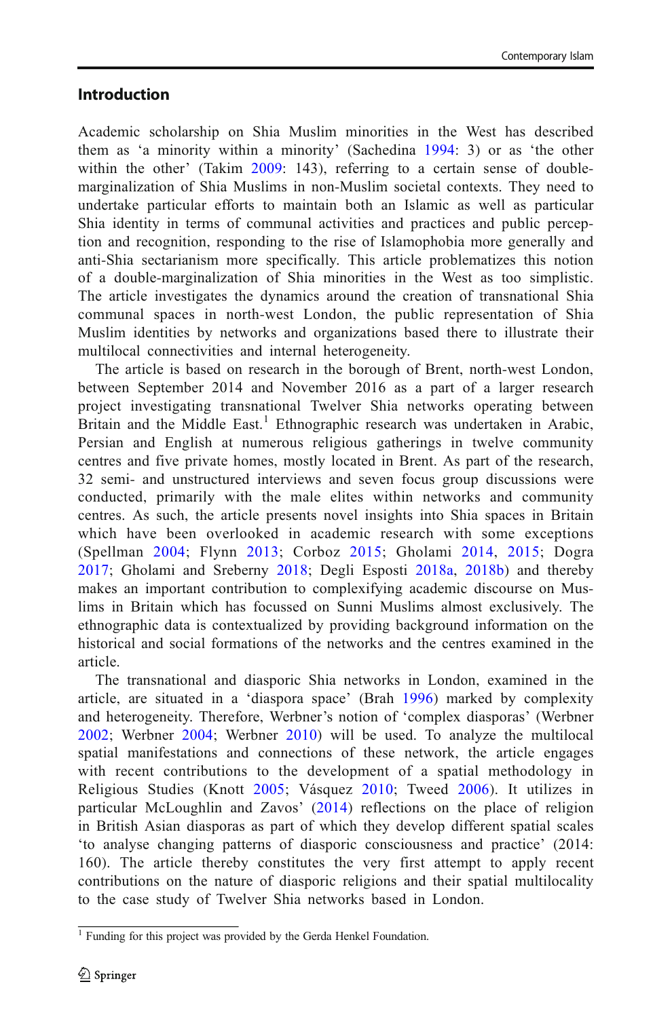## Introduction

Academic scholarship on Shia Muslim minorities in the West has described them as 'a minority within a minority' (Sachedina [1994:](#page-19-0) 3) or as 'the other within the other' (Takim [2009:](#page-19-0) 143), referring to a certain sense of doublemarginalization of Shia Muslims in non-Muslim societal contexts. They need to undertake particular efforts to maintain both an Islamic as well as particular Shia identity in terms of communal activities and practices and public perception and recognition, responding to the rise of Islamophobia more generally and anti-Shia sectarianism more specifically. This article problematizes this notion of a double-marginalization of Shia minorities in the West as too simplistic. The article investigates the dynamics around the creation of transnational Shia communal spaces in north-west London, the public representation of Shia Muslim identities by networks and organizations based there to illustrate their multilocal connectivities and internal heterogeneity.

The article is based on research in the borough of Brent, north-west London, between September 2014 and November 2016 as a part of a larger research project investigating transnational Twelver Shia networks operating between Britain and the Middle East.<sup>1</sup> Ethnographic research was undertaken in Arabic, Persian and English at numerous religious gatherings in twelve community centres and five private homes, mostly located in Brent. As part of the research, 32 semi- and unstructured interviews and seven focus group discussions were conducted, primarily with the male elites within networks and community centres. As such, the article presents novel insights into Shia spaces in Britain which have been overlooked in academic research with some exceptions (Spellman [2004](#page-19-0); Flynn [2013;](#page-19-0) Corboz [2015](#page-18-0); Gholami [2014](#page-19-0), [2015](#page-19-0); Dogra [2017](#page-19-0); Gholami and Sreberny [2018](#page-19-0); Degli Esposti [2018a,](#page-18-0) [2018b\)](#page-18-0) and thereby makes an important contribution to complexifying academic discourse on Muslims in Britain which has focussed on Sunni Muslims almost exclusively. The ethnographic data is contextualized by providing background information on the historical and social formations of the networks and the centres examined in the article.

The transnational and diasporic Shia networks in London, examined in the article, are situated in a 'diaspora space' (Brah [1996](#page-18-0)) marked by complexity and heterogeneity. Therefore, Werbner's notion of 'complex diasporas' (Werbner [2002](#page-19-0); Werbner [2004](#page-19-0); Werbner [2010](#page-19-0)) will be used. To analyze the multilocal spatial manifestations and connections of these network, the article engages with recent contributions to the development of a spatial methodology in Religious Studies (Knott [2005](#page-19-0); Vásquez [2010](#page-19-0); Tweed [2006](#page-19-0)). It utilizes in particular McLoughlin and Zavos' [\(2014\)](#page-19-0) reflections on the place of religion in British Asian diasporas as part of which they develop different spatial scales 'to analyse changing patterns of diasporic consciousness and practice' (2014: 160). The article thereby constitutes the very first attempt to apply recent contributions on the nature of diasporic religions and their spatial multilocality to the case study of Twelver Shia networks based in London.

<sup>&</sup>lt;sup>1</sup> Funding for this project was provided by the Gerda Henkel Foundation.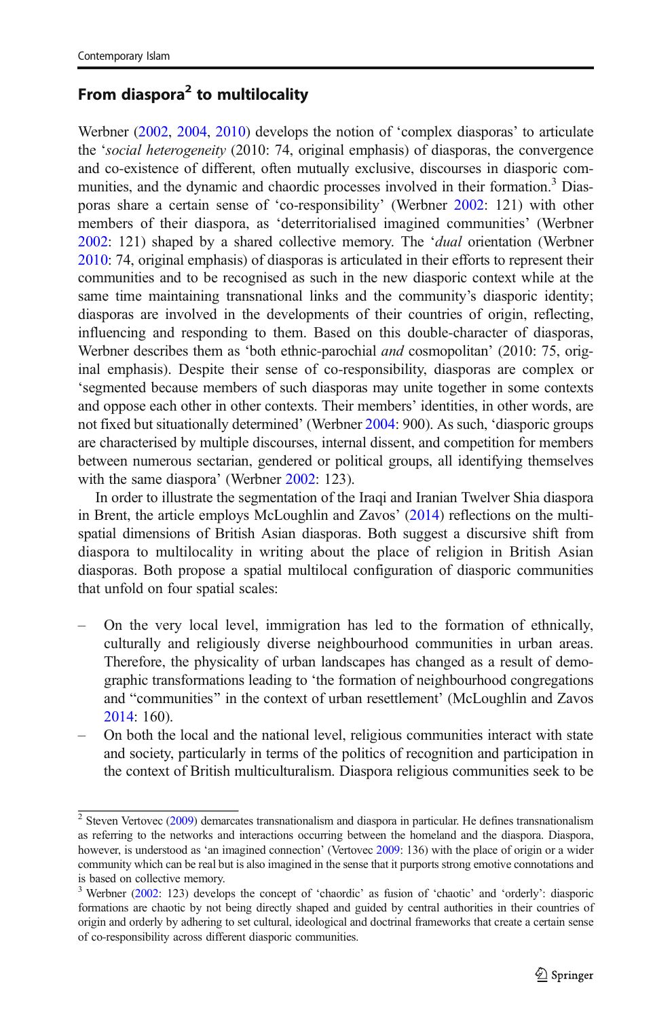## From diaspora $2$  to multilocality

Werbner ([2002](#page-19-0), [2004](#page-19-0), [2010\)](#page-19-0) develops the notion of 'complex diasporas' to articulate the 'social heterogeneity (2010: 74, original emphasis) of diasporas, the convergence and co-existence of different, often mutually exclusive, discourses in diasporic communities, and the dynamic and chaordic processes involved in their formation.<sup>3</sup> Diasporas share a certain sense of 'co-responsibility' (Werbner [2002:](#page-19-0) 121) with other members of their diaspora, as 'deterritorialised imagined communities' (Werbner [2002:](#page-19-0) 121) shaped by a shared collective memory. The 'dual orientation (Werbner [2010:](#page-19-0) 74, original emphasis) of diasporas is articulated in their efforts to represent their communities and to be recognised as such in the new diasporic context while at the same time maintaining transnational links and the community's diasporic identity; diasporas are involved in the developments of their countries of origin, reflecting, influencing and responding to them. Based on this double-character of diasporas, Werbner describes them as 'both ethnic-parochial and cosmopolitan' (2010: 75, original emphasis). Despite their sense of co-responsibility, diasporas are complex or 'segmented because members of such diasporas may unite together in some contexts and oppose each other in other contexts. Their members' identities, in other words, are not fixed but situationally determined' (Werbner [2004:](#page-19-0) 900). As such, 'diasporic groups are characterised by multiple discourses, internal dissent, and competition for members between numerous sectarian, gendered or political groups, all identifying themselves with the same diaspora' (Werbner [2002](#page-19-0): 123).

In order to illustrate the segmentation of the Iraqi and Iranian Twelver Shia diaspora in Brent, the article employs McLoughlin and Zavos' [\(2014](#page-19-0)) reflections on the multispatial dimensions of British Asian diasporas. Both suggest a discursive shift from diaspora to multilocality in writing about the place of religion in British Asian diasporas. Both propose a spatial multilocal configuration of diasporic communities that unfold on four spatial scales:

- On the very local level, immigration has led to the formation of ethnically, culturally and religiously diverse neighbourhood communities in urban areas. Therefore, the physicality of urban landscapes has changed as a result of demographic transformations leading to 'the formation of neighbourhood congregations and "communities" in the context of urban resettlement' (McLoughlin and Zavos [2014:](#page-19-0) 160).
- On both the local and the national level, religious communities interact with state and society, particularly in terms of the politics of recognition and participation in the context of British multiculturalism. Diaspora religious communities seek to be

 $2$  Steven Vertovec [\(2009\)](#page-19-0) demarcates transnationalism and diaspora in particular. He defines transnationalism as referring to the networks and interactions occurring between the homeland and the diaspora. Diaspora, however, is understood as 'an imagined connection' (Vertovec [2009:](#page-19-0) 136) with the place of origin or a wider community which can be real but is also imagined in the sense that it purports strong emotive connotations and is based on collective memory.

<sup>3</sup> Werbner [\(2002:](#page-19-0) 123) develops the concept of 'chaordic' as fusion of 'chaotic' and 'orderly': diasporic formations are chaotic by not being directly shaped and guided by central authorities in their countries of origin and orderly by adhering to set cultural, ideological and doctrinal frameworks that create a certain sense of co-responsibility across different diasporic communities.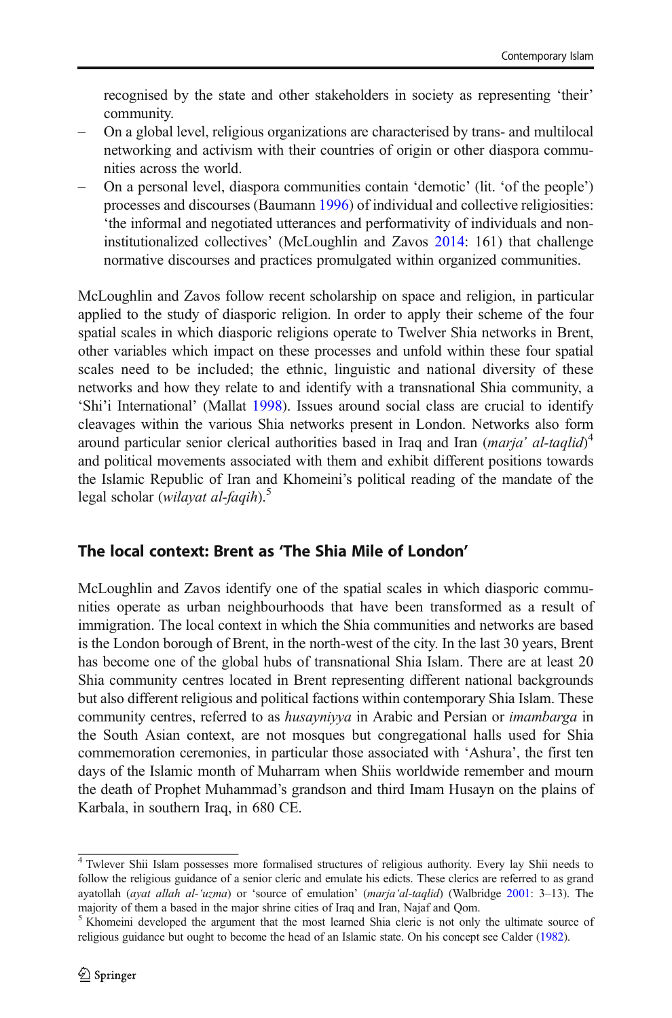recognised by the state and other stakeholders in society as representing 'their' community.

- On a global level, religious organizations are characterised by trans- and multilocal networking and activism with their countries of origin or other diaspora communities across the world.
- On a personal level, diaspora communities contain 'demotic' (lit. 'of the people') processes and discourses (Baumann [1996](#page-18-0)) of individual and collective religiosities: 'the informal and negotiated utterances and performativity of individuals and noninstitutionalized collectives' (McLoughlin and Zavos [2014:](#page-19-0) 161) that challenge normative discourses and practices promulgated within organized communities.

McLoughlin and Zavos follow recent scholarship on space and religion, in particular applied to the study of diasporic religion. In order to apply their scheme of the four spatial scales in which diasporic religions operate to Twelver Shia networks in Brent, other variables which impact on these processes and unfold within these four spatial scales need to be included; the ethnic, linguistic and national diversity of these networks and how they relate to and identify with a transnational Shia community, a 'Shi'i International' (Mallat [1998\)](#page-19-0). Issues around social class are crucial to identify cleavages within the various Shia networks present in London. Networks also form around particular senior clerical authorities based in Iraq and Iran (marja' al-taqlid)<sup>4</sup> and political movements associated with them and exhibit different positions towards the Islamic Republic of Iran and Khomeini's political reading of the mandate of the legal scholar (*wilayat al-faqih*).<sup>5</sup>

## The local context: Brent as 'The Shia Mile of London'

McLoughlin and Zavos identify one of the spatial scales in which diasporic communities operate as urban neighbourhoods that have been transformed as a result of immigration. The local context in which the Shia communities and networks are based is the London borough of Brent, in the north-west of the city. In the last 30 years, Brent has become one of the global hubs of transnational Shia Islam. There are at least 20 Shia community centres located in Brent representing different national backgrounds but also different religious and political factions within contemporary Shia Islam. These community centres, referred to as *husayniyya* in Arabic and Persian or *imambarga* in the South Asian context, are not mosques but congregational halls used for Shia commemoration ceremonies, in particular those associated with 'Ashura', the first ten days of the Islamic month of Muharram when Shiis worldwide remember and mourn the death of Prophet Muhammad's grandson and third Imam Husayn on the plains of Karbala, in southern Iraq, in 680 CE.

<sup>4</sup> Twlever Shii Islam possesses more formalised structures of religious authority. Every lay Shii needs to follow the religious guidance of a senior cleric and emulate his edicts. These clerics are referred to as grand ayatollah (ayat allah al-'uzma) or 'source of emulation' (marja'al-taqlid) (Walbridge [2001](#page-19-0): 3-13). The majority of them a based in the major shrine cities of Iraq and Iran, Najaf and Qom.

<sup>&</sup>lt;sup>5</sup> Khomeini developed the argument that the most learned Shia cleric is not only the ultimate source of religious guidance but ought to become the head of an Islamic state. On his concept see Calder [\(1982\)](#page-18-0).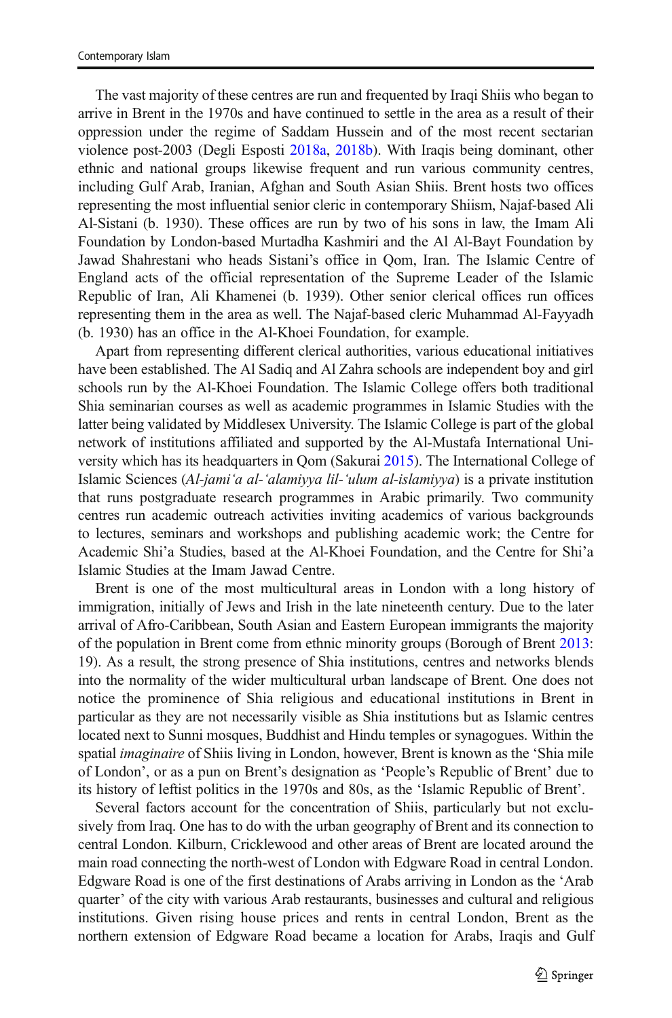The vast majority of these centres are run and frequented by Iraqi Shiis who began to arrive in Brent in the 1970s and have continued to settle in the area as a result of their oppression under the regime of Saddam Hussein and of the most recent sectarian violence post-2003 (Degli Esposti [2018a,](#page-18-0) [2018b\)](#page-18-0). With Iraqis being dominant, other ethnic and national groups likewise frequent and run various community centres, including Gulf Arab, Iranian, Afghan and South Asian Shiis. Brent hosts two offices representing the most influential senior cleric in contemporary Shiism, Najaf-based Ali Al-Sistani (b. 1930). These offices are run by two of his sons in law, the Imam Ali Foundation by London-based Murtadha Kashmiri and the Al Al-Bayt Foundation by Jawad Shahrestani who heads Sistani's office in Qom, Iran. The Islamic Centre of England acts of the official representation of the Supreme Leader of the Islamic Republic of Iran, Ali Khamenei (b. 1939). Other senior clerical offices run offices representing them in the area as well. The Najaf-based cleric Muhammad Al-Fayyadh (b. 1930) has an office in the Al-Khoei Foundation, for example.

Apart from representing different clerical authorities, various educational initiatives have been established. The Al Sadiq and Al Zahra schools are independent boy and girl schools run by the Al-Khoei Foundation. The Islamic College offers both traditional Shia seminarian courses as well as academic programmes in Islamic Studies with the latter being validated by Middlesex University. The Islamic College is part of the global network of institutions affiliated and supported by the Al-Mustafa International University which has its headquarters in Qom (Sakurai [2015\)](#page-19-0). The International College of Islamic Sciences (Al-jami'a al-'alamiyya lil-'ulum al-islamiyya) is a private institution that runs postgraduate research programmes in Arabic primarily. Two community centres run academic outreach activities inviting academics of various backgrounds to lectures, seminars and workshops and publishing academic work; the Centre for Academic Shi'a Studies, based at the Al-Khoei Foundation, and the Centre for Shi'a Islamic Studies at the Imam Jawad Centre.

Brent is one of the most multicultural areas in London with a long history of immigration, initially of Jews and Irish in the late nineteenth century. Due to the later arrival of Afro-Caribbean, South Asian and Eastern European immigrants the majority of the population in Brent come from ethnic minority groups (Borough of Brent [2013:](#page-19-0) 19). As a result, the strong presence of Shia institutions, centres and networks blends into the normality of the wider multicultural urban landscape of Brent. One does not notice the prominence of Shia religious and educational institutions in Brent in particular as they are not necessarily visible as Shia institutions but as Islamic centres located next to Sunni mosques, Buddhist and Hindu temples or synagogues. Within the spatial *imaginaire* of Shiis living in London, however, Brent is known as the 'Shia mile of London', or as a pun on Brent's designation as 'People's Republic of Brent' due to its history of leftist politics in the 1970s and 80s, as the 'Islamic Republic of Brent'.

Several factors account for the concentration of Shiis, particularly but not exclusively from Iraq. One has to do with the urban geography of Brent and its connection to central London. Kilburn, Cricklewood and other areas of Brent are located around the main road connecting the north-west of London with Edgware Road in central London. Edgware Road is one of the first destinations of Arabs arriving in London as the 'Arab quarter' of the city with various Arab restaurants, businesses and cultural and religious institutions. Given rising house prices and rents in central London, Brent as the northern extension of Edgware Road became a location for Arabs, Iraqis and Gulf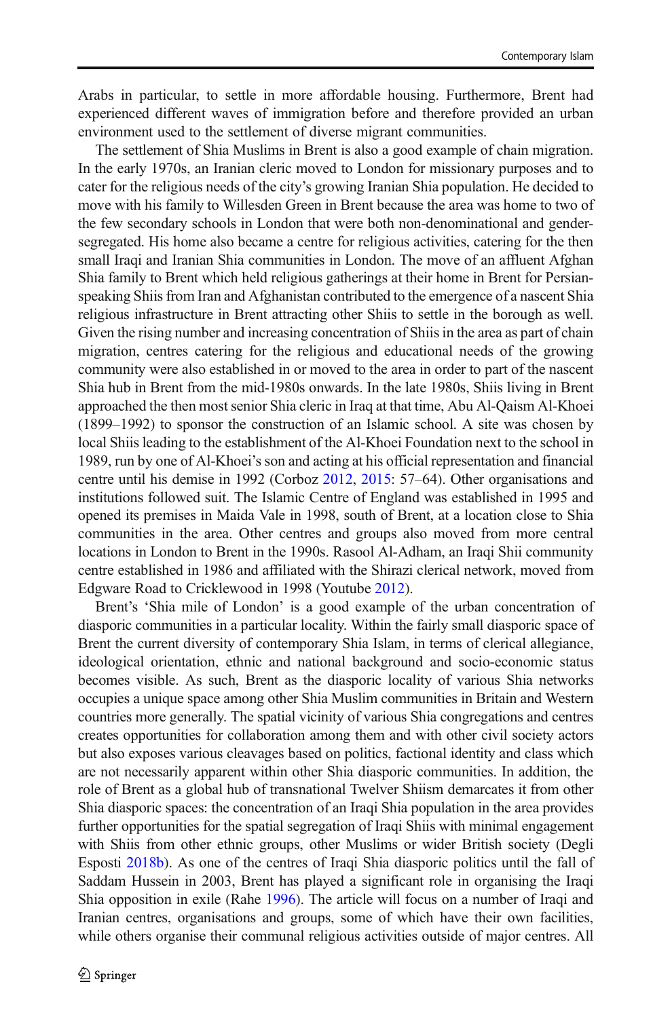Arabs in particular, to settle in more affordable housing. Furthermore, Brent had experienced different waves of immigration before and therefore provided an urban environment used to the settlement of diverse migrant communities.

The settlement of Shia Muslims in Brent is also a good example of chain migration. In the early 1970s, an Iranian cleric moved to London for missionary purposes and to cater for the religious needs of the city's growing Iranian Shia population. He decided to move with his family to Willesden Green in Brent because the area was home to two of the few secondary schools in London that were both non-denominational and gendersegregated. His home also became a centre for religious activities, catering for the then small Iraqi and Iranian Shia communities in London. The move of an affluent Afghan Shia family to Brent which held religious gatherings at their home in Brent for Persianspeaking Shiis from Iran and Afghanistan contributed to the emergence of a nascent Shia religious infrastructure in Brent attracting other Shiis to settle in the borough as well. Given the rising number and increasing concentration of Shiis in the area as part of chain migration, centres catering for the religious and educational needs of the growing community were also established in or moved to the area in order to part of the nascent Shia hub in Brent from the mid-1980s onwards. In the late 1980s, Shiis living in Brent approached the then most senior Shia cleric in Iraq at that time, Abu Al-Qaism Al-Khoei (1899–1992) to sponsor the construction of an Islamic school. A site was chosen by local Shiis leading to the establishment of the Al-Khoei Foundation next to the school in 1989, run by one of Al-Khoei's son and acting at his official representation and financial centre until his demise in 1992 (Corboz [2012,](#page-18-0) [2015:](#page-18-0) 57–64). Other organisations and institutions followed suit. The Islamic Centre of England was established in 1995 and opened its premises in Maida Vale in 1998, south of Brent, at a location close to Shia communities in the area. Other centres and groups also moved from more central locations in London to Brent in the 1990s. Rasool Al-Adham, an Iraqi Shii community centre established in 1986 and affiliated with the Shirazi clerical network, moved from Edgware Road to Cricklewood in 1998 (Youtube [2012\)](#page-19-0).

Brent's 'Shia mile of London' is a good example of the urban concentration of diasporic communities in a particular locality. Within the fairly small diasporic space of Brent the current diversity of contemporary Shia Islam, in terms of clerical allegiance, ideological orientation, ethnic and national background and socio-economic status becomes visible. As such, Brent as the diasporic locality of various Shia networks occupies a unique space among other Shia Muslim communities in Britain and Western countries more generally. The spatial vicinity of various Shia congregations and centres creates opportunities for collaboration among them and with other civil society actors but also exposes various cleavages based on politics, factional identity and class which are not necessarily apparent within other Shia diasporic communities. In addition, the role of Brent as a global hub of transnational Twelver Shiism demarcates it from other Shia diasporic spaces: the concentration of an Iraqi Shia population in the area provides further opportunities for the spatial segregation of Iraqi Shiis with minimal engagement with Shiis from other ethnic groups, other Muslims or wider British society (Degli Esposti [2018b](#page-18-0)). As one of the centres of Iraqi Shia diasporic politics until the fall of Saddam Hussein in 2003, Brent has played a significant role in organising the Iraqi Shia opposition in exile (Rahe [1996](#page-19-0)). The article will focus on a number of Iraqi and Iranian centres, organisations and groups, some of which have their own facilities, while others organise their communal religious activities outside of major centres. All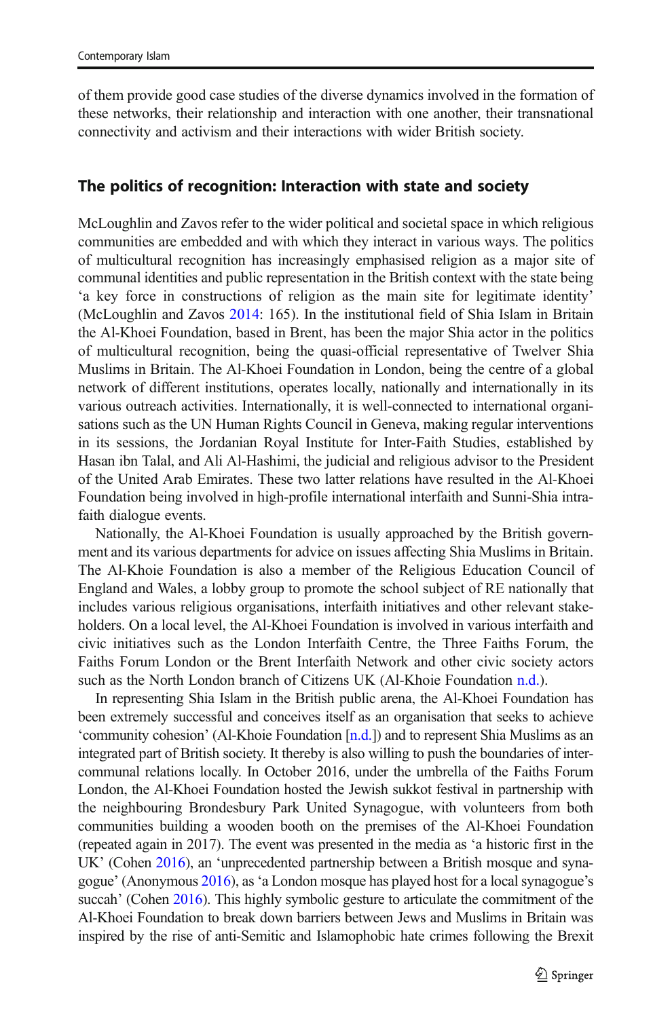of them provide good case studies of the diverse dynamics involved in the formation of these networks, their relationship and interaction with one another, their transnational connectivity and activism and their interactions with wider British society.

## The politics of recognition: Interaction with state and society

McLoughlin and Zavos refer to the wider political and societal space in which religious communities are embedded and with which they interact in various ways. The politics of multicultural recognition has increasingly emphasised religion as a major site of communal identities and public representation in the British context with the state being 'a key force in constructions of religion as the main site for legitimate identity' (McLoughlin and Zavos [2014:](#page-19-0) 165). In the institutional field of Shia Islam in Britain the Al-Khoei Foundation, based in Brent, has been the major Shia actor in the politics of multicultural recognition, being the quasi-official representative of Twelver Shia Muslims in Britain. The Al-Khoei Foundation in London, being the centre of a global network of different institutions, operates locally, nationally and internationally in its various outreach activities. Internationally, it is well-connected to international organisations such as the UN Human Rights Council in Geneva, making regular interventions in its sessions, the Jordanian Royal Institute for Inter-Faith Studies, established by Hasan ibn Talal, and Ali Al-Hashimi, the judicial and religious advisor to the President of the United Arab Emirates. These two latter relations have resulted in the Al-Khoei Foundation being involved in high-profile international interfaith and Sunni-Shia intrafaith dialogue events.

Nationally, the Al-Khoei Foundation is usually approached by the British government and its various departments for advice on issues affecting Shia Muslims in Britain. The Al-Khoie Foundation is also a member of the Religious Education Council of England and Wales, a lobby group to promote the school subject of RE nationally that includes various religious organisations, interfaith initiatives and other relevant stakeholders. On a local level, the Al-Khoei Foundation is involved in various interfaith and civic initiatives such as the London Interfaith Centre, the Three Faiths Forum, the Faiths Forum London or the Brent Interfaith Network and other civic society actors such as the North London branch of Citizens UK (Al-Khoie Foundation [n.d.\)](#page-18-0).

In representing Shia Islam in the British public arena, the Al-Khoei Foundation has been extremely successful and conceives itself as an organisation that seeks to achieve 'community cohesion' (Al-Khoie Foundation  $[n.d.]$  $[n.d.]$ ) and to represent Shia Muslims as an integrated part of British society. It thereby is also willing to push the boundaries of intercommunal relations locally. In October 2016, under the umbrella of the Faiths Forum London, the Al-Khoei Foundation hosted the Jewish sukkot festival in partnership with the neighbouring Brondesbury Park United Synagogue, with volunteers from both communities building a wooden booth on the premises of the Al-Khoei Foundation (repeated again in 2017). The event was presented in the media as 'a historic first in the UK' (Cohen [2016](#page-18-0)), an 'unprecedented partnership between a British mosque and synagogue' (Anonymous [2016\)](#page-18-0), as'a London mosque has played host for a local synagogue's succah' (Cohen [2016](#page-18-0)). This highly symbolic gesture to articulate the commitment of the Al-Khoei Foundation to break down barriers between Jews and Muslims in Britain was inspired by the rise of anti-Semitic and Islamophobic hate crimes following the Brexit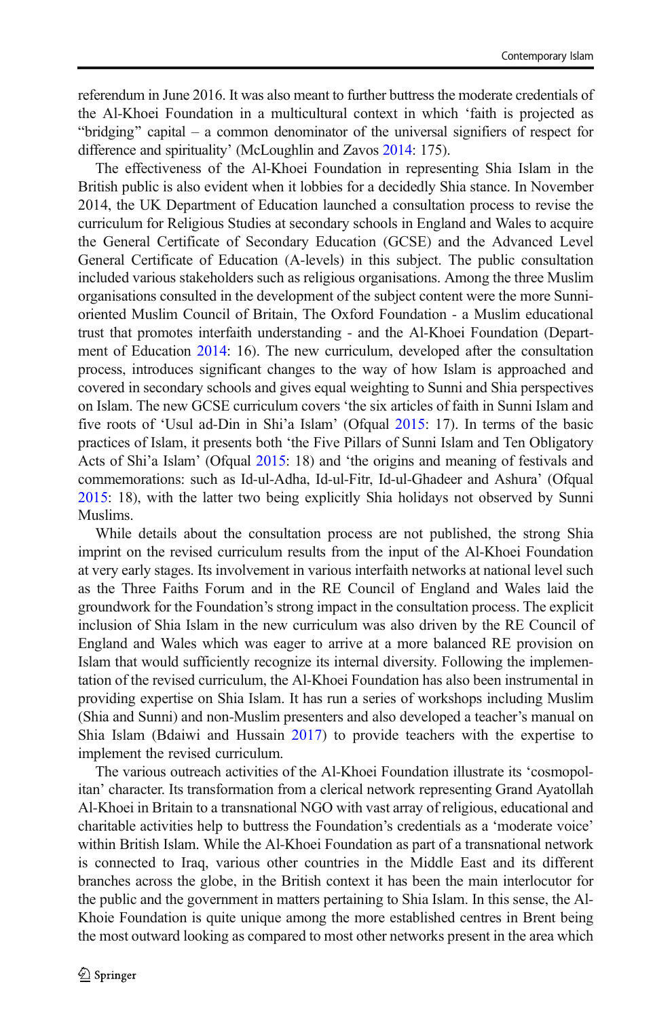referendum in June 2016. It was also meant to further buttress the moderate credentials of the Al-Khoei Foundation in a multicultural context in which 'faith is projected as "bridging" capital – a common denominator of the universal signifiers of respect for difference and spirituality' (McLoughlin and Zavos [2014:](#page-19-0) 175).

The effectiveness of the Al-Khoei Foundation in representing Shia Islam in the British public is also evident when it lobbies for a decidedly Shia stance. In November 2014, the UK Department of Education launched a consultation process to revise the curriculum for Religious Studies at secondary schools in England and Wales to acquire the General Certificate of Secondary Education (GCSE) and the Advanced Level General Certificate of Education (A-levels) in this subject. The public consultation included various stakeholders such as religious organisations. Among the three Muslim organisations consulted in the development of the subject content were the more Sunnioriented Muslim Council of Britain, The Oxford Foundation - a Muslim educational trust that promotes interfaith understanding - and the Al-Khoei Foundation (Department of Education [2014](#page-18-0): 16). The new curriculum, developed after the consultation process, introduces significant changes to the way of how Islam is approached and covered in secondary schools and gives equal weighting to Sunni and Shia perspectives on Islam. The new GCSE curriculum covers 'the six articles of faith in Sunni Islam and five roots of 'Usul ad-Din in Shi'a Islam' (Ofqual [2015](#page-19-0): 17). In terms of the basic practices of Islam, it presents both 'the Five Pillars of Sunni Islam and Ten Obligatory Acts of Shi'a Islam' (Ofqual [2015](#page-19-0): 18) and 'the origins and meaning of festivals and commemorations: such as Id-ul-Adha, Id-ul-Fitr, Id-ul-Ghadeer and Ashura' (Ofqual [2015:](#page-19-0) 18), with the latter two being explicitly Shia holidays not observed by Sunni Muslims.

While details about the consultation process are not published, the strong Shia imprint on the revised curriculum results from the input of the Al-Khoei Foundation at very early stages. Its involvement in various interfaith networks at national level such as the Three Faiths Forum and in the RE Council of England and Wales laid the groundwork for the Foundation's strong impact in the consultation process. The explicit inclusion of Shia Islam in the new curriculum was also driven by the RE Council of England and Wales which was eager to arrive at a more balanced RE provision on Islam that would sufficiently recognize its internal diversity. Following the implementation of the revised curriculum, the Al-Khoei Foundation has also been instrumental in providing expertise on Shia Islam. It has run a series of workshops including Muslim (Shia and Sunni) and non-Muslim presenters and also developed a teacher's manual on Shia Islam (Bdaiwi and Hussain [2017\)](#page-18-0) to provide teachers with the expertise to implement the revised curriculum.

The various outreach activities of the Al-Khoei Foundation illustrate its 'cosmopolitan' character. Its transformation from a clerical network representing Grand Ayatollah Al-Khoei in Britain to a transnational NGO with vast array of religious, educational and charitable activities help to buttress the Foundation's credentials as a 'moderate voice' within British Islam. While the Al-Khoei Foundation as part of a transnational network is connected to Iraq, various other countries in the Middle East and its different branches across the globe, in the British context it has been the main interlocutor for the public and the government in matters pertaining to Shia Islam. In this sense, the Al-Khoie Foundation is quite unique among the more established centres in Brent being the most outward looking as compared to most other networks present in the area which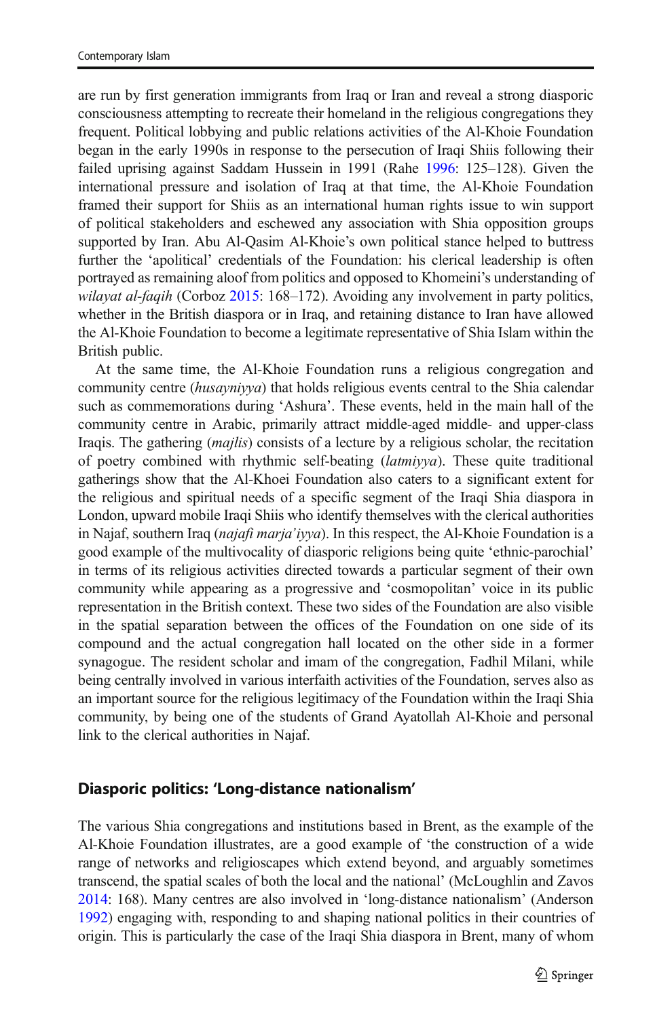are run by first generation immigrants from Iraq or Iran and reveal a strong diasporic consciousness attempting to recreate their homeland in the religious congregations they frequent. Political lobbying and public relations activities of the Al-Khoie Foundation began in the early 1990s in response to the persecution of Iraqi Shiis following their failed uprising against Saddam Hussein in 1991 (Rahe [1996:](#page-19-0) 125–128). Given the international pressure and isolation of Iraq at that time, the Al-Khoie Foundation framed their support for Shiis as an international human rights issue to win support of political stakeholders and eschewed any association with Shia opposition groups supported by Iran. Abu Al-Qasim Al-Khoie's own political stance helped to buttress further the 'apolitical' credentials of the Foundation: his clerical leadership is often portrayed as remaining aloof from politics and opposed to Khomeini's understanding of wilayat al-faqih (Corboz [2015:](#page-18-0) 168–172). Avoiding any involvement in party politics, whether in the British diaspora or in Iraq, and retaining distance to Iran have allowed the Al-Khoie Foundation to become a legitimate representative of Shia Islam within the British public.

At the same time, the Al-Khoie Foundation runs a religious congregation and community centre (husayniyya) that holds religious events central to the Shia calendar such as commemorations during 'Ashura'. These events, held in the main hall of the community centre in Arabic, primarily attract middle-aged middle- and upper-class Iraqis. The gathering (majlis) consists of a lecture by a religious scholar, the recitation of poetry combined with rhythmic self-beating (latmiyya). These quite traditional gatherings show that the Al-Khoei Foundation also caters to a significant extent for the religious and spiritual needs of a specific segment of the Iraqi Shia diaspora in London, upward mobile Iraqi Shiis who identify themselves with the clerical authorities in Najaf, southern Iraq (najafi marja'iyya). In this respect, the Al-Khoie Foundation is a good example of the multivocality of diasporic religions being quite 'ethnic-parochial' in terms of its religious activities directed towards a particular segment of their own community while appearing as a progressive and 'cosmopolitan' voice in its public representation in the British context. These two sides of the Foundation are also visible in the spatial separation between the offices of the Foundation on one side of its compound and the actual congregation hall located on the other side in a former synagogue. The resident scholar and imam of the congregation, Fadhil Milani, while being centrally involved in various interfaith activities of the Foundation, serves also as an important source for the religious legitimacy of the Foundation within the Iraqi Shia community, by being one of the students of Grand Ayatollah Al-Khoie and personal link to the clerical authorities in Najaf.

## Diasporic politics: 'Long-distance nationalism'

The various Shia congregations and institutions based in Brent, as the example of the Al-Khoie Foundation illustrates, are a good example of 'the construction of a wide range of networks and religioscapes which extend beyond, and arguably sometimes transcend, the spatial scales of both the local and the national' (McLoughlin and Zavos [2014:](#page-19-0) 168). Many centres are also involved in 'long-distance nationalism' (Anderson [1992\)](#page-18-0) engaging with, responding to and shaping national politics in their countries of origin. This is particularly the case of the Iraqi Shia diaspora in Brent, many of whom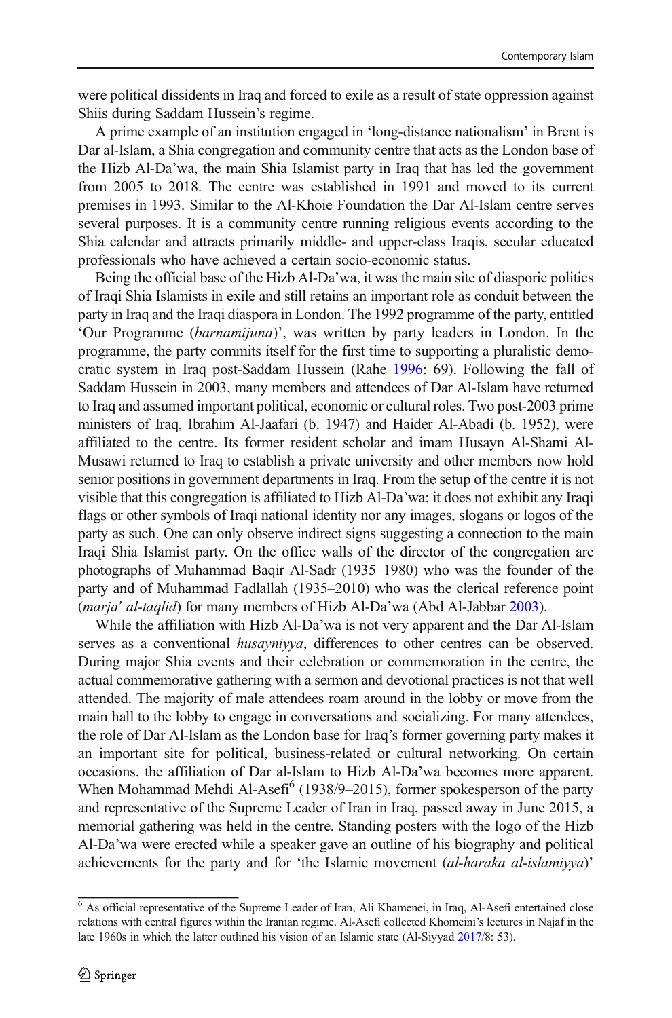were political dissidents in Iraq and forced to exile as a result of state oppression against Shiis during Saddam Hussein's regime.

A prime example of an institution engaged in 'long-distance nationalism' in Brent is Dar al-Islam, a Shia congregation and community centre that acts as the London base of the Hizb Al-Da'wa, the main Shia Islamist party in Iraq that has led the government from 2005 to 2018. The centre was established in 1991 and moved to its current premises in 1993. Similar to the Al-Khoie Foundation the Dar Al-Islam centre serves several purposes. It is a community centre running religious events according to the Shia calendar and attracts primarily middle- and upper-class Iraqis, secular educated professionals who have achieved a certain socio-economic status.

Being the official base of the Hizb Al-Da'wa, it was the main site of diasporic politics of Iraqi Shia Islamists in exile and still retains an important role as conduit between the party in Iraq and the Iraqi diaspora in London. The 1992 programme of the party, entitled 'Our Programme (barnamijuna)', was written by party leaders in London. In the programme, the party commits itself for the first time to supporting a pluralistic democratic system in Iraq post-Saddam Hussein (Rahe [1996:](#page-19-0) 69). Following the fall of Saddam Hussein in 2003, many members and attendees of Dar Al-Islam have returned to Iraq and assumed important political, economic or cultural roles. Two post-2003 prime ministers of Iraq, Ibrahim Al-Jaafari (b. 1947) and Haider Al-Abadi (b. 1952), were affiliated to the centre. Its former resident scholar and imam Husayn Al-Shami Al-Musawi returned to Iraq to establish a private university and other members now hold senior positions in government departments in Iraq. From the setup of the centre it is not visible that this congregation is affiliated to Hizb Al-Da'wa; it does not exhibit any Iraqi flags or other symbols of Iraqi national identity nor any images, slogans or logos of the party as such. One can only observe indirect signs suggesting a connection to the main Iraqi Shia Islamist party. On the office walls of the director of the congregation are photographs of Muhammad Baqir Al-Sadr (1935–1980) who was the founder of the party and of Muhammad Fadlallah (1935–2010) who was the clerical reference point (*marja' al-taqlid*) for many members of Hizb Al-Da'wa (Abd Al-Jabbar [2003\)](#page-18-0).

While the affiliation with Hizb Al-Da'wa is not very apparent and the Dar Al-Islam serves as a conventional *husayniyya*, differences to other centres can be observed. During major Shia events and their celebration or commemoration in the centre, the actual commemorative gathering with a sermon and devotional practices is not that well attended. The majority of male attendees roam around in the lobby or move from the main hall to the lobby to engage in conversations and socializing. For many attendees, the role of Dar Al-Islam as the London base for Iraq's former governing party makes it an important site for political, business-related or cultural networking. On certain occasions, the affiliation of Dar al-Islam to Hizb Al-Da'wa becomes more apparent. When Mohammad Mehdi Al-Asefi<sup>6</sup> (1938/9–2015), former spokesperson of the party and representative of the Supreme Leader of Iran in Iraq, passed away in June 2015, a memorial gathering was held in the centre. Standing posters with the logo of the Hizb Al-Da'wa were erected while a speaker gave an outline of his biography and political achievements for the party and for 'the Islamic movement (al-haraka al-islamiyya)'

<sup>6</sup> As official representative of the Supreme Leader of Iran, Ali Khamenei, in Iraq, Al-Asefi entertained close relations with central figures within the Iranian regime. Al-Asefi collected Khomeini's lectures in Najaf in the late 1960s in which the latter outlined his vision of an Islamic state (Al-Siyyad [2017/](#page-18-0)8: 53).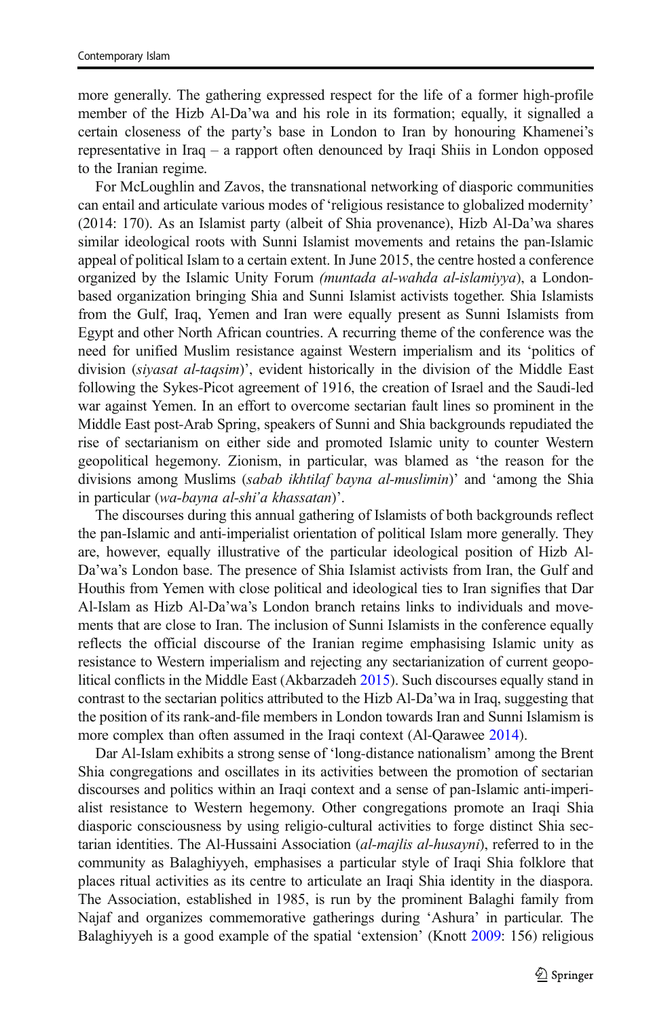more generally. The gathering expressed respect for the life of a former high-profile member of the Hizb Al-Da'wa and his role in its formation; equally, it signalled a certain closeness of the party's base in London to Iran by honouring Khamenei's representative in Iraq – a rapport often denounced by Iraqi Shiis in London opposed to the Iranian regime.

For McLoughlin and Zavos, the transnational networking of diasporic communities can entail and articulate various modes of 'religious resistance to globalized modernity' (2014: 170). As an Islamist party (albeit of Shia provenance), Hizb Al-Da'wa shares similar ideological roots with Sunni Islamist movements and retains the pan-Islamic appeal of political Islam to a certain extent. In June 2015, the centre hosted a conference organized by the Islamic Unity Forum (muntada al-wahda al-islamiyya), a Londonbased organization bringing Shia and Sunni Islamist activists together. Shia Islamists from the Gulf, Iraq, Yemen and Iran were equally present as Sunni Islamists from Egypt and other North African countries. A recurring theme of the conference was the need for unified Muslim resistance against Western imperialism and its 'politics of division (siyasat al-taqsim)', evident historically in the division of the Middle East following the Sykes-Picot agreement of 1916, the creation of Israel and the Saudi-led war against Yemen. In an effort to overcome sectarian fault lines so prominent in the Middle East post-Arab Spring, speakers of Sunni and Shia backgrounds repudiated the rise of sectarianism on either side and promoted Islamic unity to counter Western geopolitical hegemony. Zionism, in particular, was blamed as 'the reason for the divisions among Muslims (sabab ikhtilaf bayna al-muslimin)' and 'among the Shia in particular (wa-bayna al-shi'a khassatan)'.

The discourses during this annual gathering of Islamists of both backgrounds reflect the pan-Islamic and anti-imperialist orientation of political Islam more generally. They are, however, equally illustrative of the particular ideological position of Hizb Al-Da'wa's London base. The presence of Shia Islamist activists from Iran, the Gulf and Houthis from Yemen with close political and ideological ties to Iran signifies that Dar Al-Islam as Hizb Al-Da'wa's London branch retains links to individuals and movements that are close to Iran. The inclusion of Sunni Islamists in the conference equally reflects the official discourse of the Iranian regime emphasising Islamic unity as resistance to Western imperialism and rejecting any sectarianization of current geopolitical conflicts in the Middle East (Akbarzadeh [2015](#page-18-0)). Such discourses equally stand in contrast to the sectarian politics attributed to the Hizb Al-Da'wa in Iraq, suggesting that the position of its rank-and-file members in London towards Iran and Sunni Islamism is more complex than often assumed in the Iraqi context (Al-Qarawee [2014\)](#page-18-0).

Dar Al-Islam exhibits a strong sense of 'long-distance nationalism' among the Brent Shia congregations and oscillates in its activities between the promotion of sectarian discourses and politics within an Iraqi context and a sense of pan-Islamic anti-imperialist resistance to Western hegemony. Other congregations promote an Iraqi Shia diasporic consciousness by using religio-cultural activities to forge distinct Shia sectarian identities. The Al-Hussaini Association (al-majlis al-husayni), referred to in the community as Balaghiyyeh, emphasises a particular style of Iraqi Shia folklore that places ritual activities as its centre to articulate an Iraqi Shia identity in the diaspora. The Association, established in 1985, is run by the prominent Balaghi family from Najaf and organizes commemorative gatherings during 'Ashura' in particular. The Balaghiyyeh is a good example of the spatial 'extension' (Knott [2009:](#page-19-0) 156) religious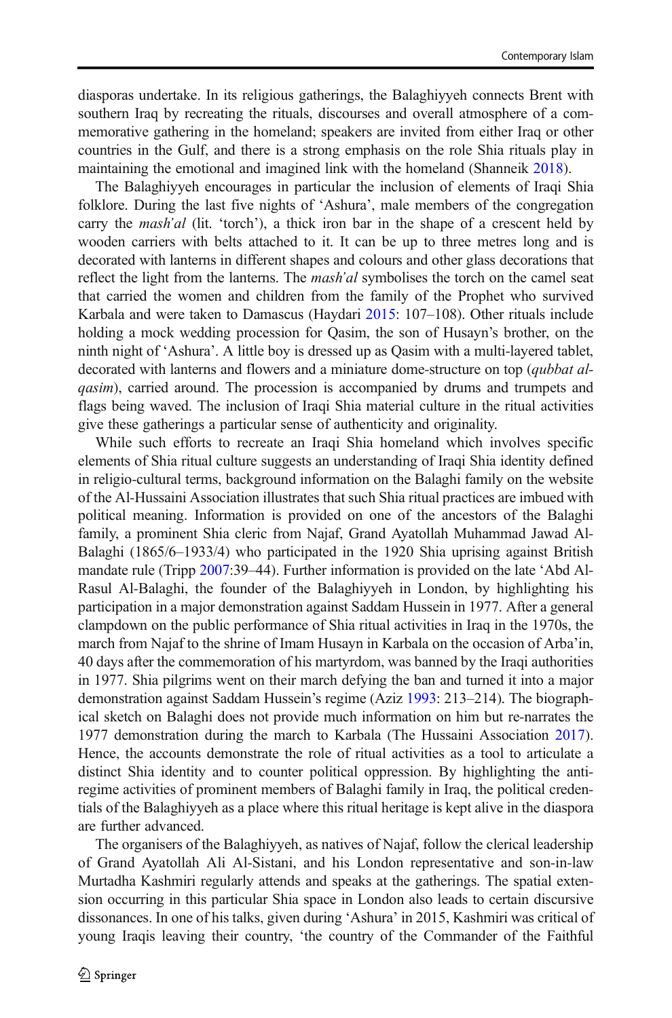diasporas undertake. In its religious gatherings, the Balaghiyyeh connects Brent with southern Iraq by recreating the rituals, discourses and overall atmosphere of a commemorative gathering in the homeland; speakers are invited from either Iraq or other countries in the Gulf, and there is a strong emphasis on the role Shia rituals play in maintaining the emotional and imagined link with the homeland (Shanneik [2018\)](#page-19-0).

The Balaghiyyeh encourages in particular the inclusion of elements of Iraqi Shia folklore. During the last five nights of 'Ashura', male members of the congregation carry the mash'al (lit. 'torch'), a thick iron bar in the shape of a crescent held by wooden carriers with belts attached to it. It can be up to three metres long and is decorated with lanterns in different shapes and colours and other glass decorations that reflect the light from the lanterns. The *mash'al* symbolises the torch on the camel seat that carried the women and children from the family of the Prophet who survived Karbala and were taken to Damascus (Haydari [2015:](#page-19-0) 107–108). Other rituals include holding a mock wedding procession for Qasim, the son of Husayn's brother, on the ninth night of 'Ashura'. A little boy is dressed up as Qasim with a multi-layered tablet, decorated with lanterns and flowers and a miniature dome-structure on top (qubbat al*qasim*), carried around. The procession is accompanied by drums and trumpets and flags being waved. The inclusion of Iraqi Shia material culture in the ritual activities give these gatherings a particular sense of authenticity and originality.

While such efforts to recreate an Iraqi Shia homeland which involves specific elements of Shia ritual culture suggests an understanding of Iraqi Shia identity defined in religio-cultural terms, background information on the Balaghi family on the website of the Al-Hussaini Association illustrates that such Shia ritual practices are imbued with political meaning. Information is provided on one of the ancestors of the Balaghi family, a prominent Shia cleric from Najaf, Grand Ayatollah Muhammad Jawad Al-Balaghi (1865/6–1933/4) who participated in the 1920 Shia uprising against British mandate rule (Tripp [2007](#page-19-0):39–44). Further information is provided on the late 'Abd Al-Rasul Al-Balaghi, the founder of the Balaghiyyeh in London, by highlighting his participation in a major demonstration against Saddam Hussein in 1977. After a general clampdown on the public performance of Shia ritual activities in Iraq in the 1970s, the march from Najaf to the shrine of Imam Husayn in Karbala on the occasion of Arba'in, 40 days after the commemoration of his martyrdom, was banned by the Iraqi authorities in 1977. Shia pilgrims went on their march defying the ban and turned it into a major demonstration against Saddam Hussein's regime (Aziz [1993:](#page-18-0) 213–214). The biographical sketch on Balaghi does not provide much information on him but re-narrates the 1977 demonstration during the march to Karbala (The Hussaini Association [2017\)](#page-19-0). Hence, the accounts demonstrate the role of ritual activities as a tool to articulate a distinct Shia identity and to counter political oppression. By highlighting the antiregime activities of prominent members of Balaghi family in Iraq, the political credentials of the Balaghiyyeh as a place where this ritual heritage is kept alive in the diaspora are further advanced.

The organisers of the Balaghiyyeh, as natives of Najaf, follow the clerical leadership of Grand Ayatollah Ali Al-Sistani, and his London representative and son-in-law Murtadha Kashmiri regularly attends and speaks at the gatherings. The spatial extension occurring in this particular Shia space in London also leads to certain discursive dissonances. In one of his talks, given during 'Ashura' in 2015, Kashmiri was critical of young Iraqis leaving their country, 'the country of the Commander of the Faithful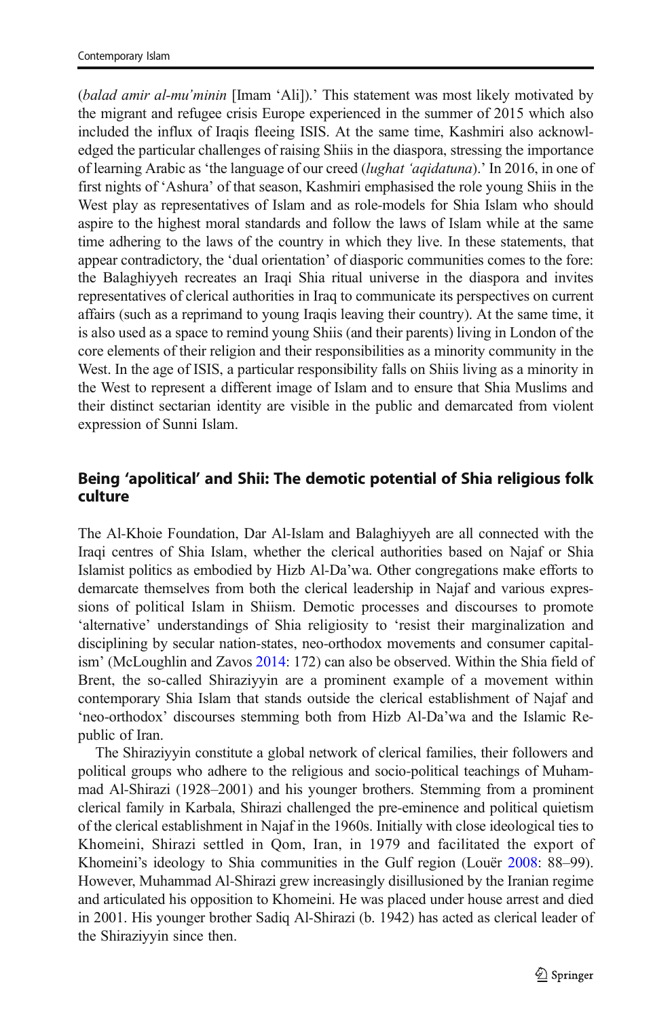(balad amir al-mu'minin [Imam 'Ali]).' This statement was most likely motivated by the migrant and refugee crisis Europe experienced in the summer of 2015 which also included the influx of Iraqis fleeing ISIS. At the same time, Kashmiri also acknowledged the particular challenges of raising Shiis in the diaspora, stressing the importance of learning Arabic as 'the language of our creed (lughat 'aqidatuna).' In 2016, in one of first nights of 'Ashura' of that season, Kashmiri emphasised the role young Shiis in the West play as representatives of Islam and as role-models for Shia Islam who should aspire to the highest moral standards and follow the laws of Islam while at the same time adhering to the laws of the country in which they live. In these statements, that appear contradictory, the 'dual orientation' of diasporic communities comes to the fore: the Balaghiyyeh recreates an Iraqi Shia ritual universe in the diaspora and invites representatives of clerical authorities in Iraq to communicate its perspectives on current affairs (such as a reprimand to young Iraqis leaving their country). At the same time, it is also used as a space to remind young Shiis (and their parents) living in London of the core elements of their religion and their responsibilities as a minority community in the West. In the age of ISIS, a particular responsibility falls on Shiis living as a minority in the West to represent a different image of Islam and to ensure that Shia Muslims and their distinct sectarian identity are visible in the public and demarcated from violent expression of Sunni Islam.

## Being 'apolitical' and Shii: The demotic potential of Shia religious folk culture

The Al-Khoie Foundation, Dar Al-Islam and Balaghiyyeh are all connected with the Iraqi centres of Shia Islam, whether the clerical authorities based on Najaf or Shia Islamist politics as embodied by Hizb Al-Da'wa. Other congregations make efforts to demarcate themselves from both the clerical leadership in Najaf and various expressions of political Islam in Shiism. Demotic processes and discourses to promote 'alternative' understandings of Shia religiosity to 'resist their marginalization and disciplining by secular nation-states, neo-orthodox movements and consumer capitalism' (McLoughlin and Zavos [2014:](#page-19-0) 172) can also be observed. Within the Shia field of Brent, the so-called Shiraziyyin are a prominent example of a movement within contemporary Shia Islam that stands outside the clerical establishment of Najaf and 'neo-orthodox' discourses stemming both from Hizb Al-Da'wa and the Islamic Republic of Iran.

The Shiraziyyin constitute a global network of clerical families, their followers and political groups who adhere to the religious and socio-political teachings of Muhammad Al-Shirazi (1928–2001) and his younger brothers. Stemming from a prominent clerical family in Karbala, Shirazi challenged the pre-eminence and political quietism of the clerical establishment in Najaf in the 1960s. Initially with close ideological ties to Khomeini, Shirazi settled in Qom, Iran, in 1979 and facilitated the export of Khomeini's ideology to Shia communities in the Gulf region (Louër [2008:](#page-19-0) 88–99). However, Muhammad Al-Shirazi grew increasingly disillusioned by the Iranian regime and articulated his opposition to Khomeini. He was placed under house arrest and died in 2001. His younger brother Sadiq Al-Shirazi (b. 1942) has acted as clerical leader of the Shiraziyyin since then.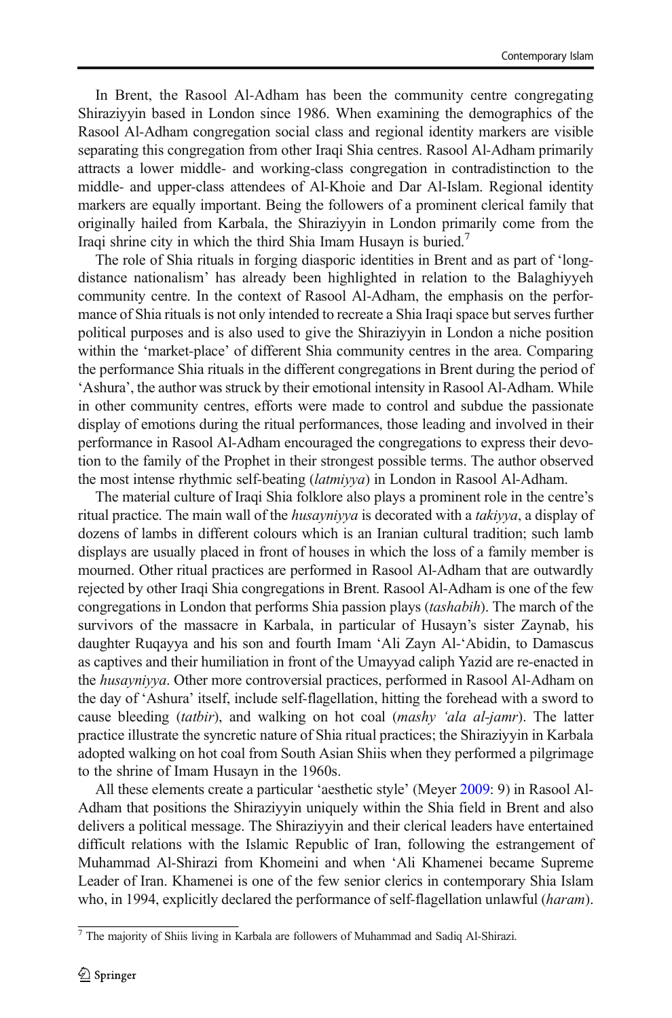In Brent, the Rasool Al-Adham has been the community centre congregating Shiraziyyin based in London since 1986. When examining the demographics of the Rasool Al-Adham congregation social class and regional identity markers are visible separating this congregation from other Iraqi Shia centres. Rasool Al-Adham primarily attracts a lower middle- and working-class congregation in contradistinction to the middle- and upper-class attendees of Al-Khoie and Dar Al-Islam. Regional identity markers are equally important. Being the followers of a prominent clerical family that originally hailed from Karbala, the Shiraziyyin in London primarily come from the Iraqi shrine city in which the third Shia Imam Husayn is buried.7

The role of Shia rituals in forging diasporic identities in Brent and as part of 'longdistance nationalism' has already been highlighted in relation to the Balaghiyyeh community centre. In the context of Rasool Al-Adham, the emphasis on the performance of Shia rituals is not only intended to recreate a Shia Iraqi space but serves further political purposes and is also used to give the Shiraziyyin in London a niche position within the 'market-place' of different Shia community centres in the area. Comparing the performance Shia rituals in the different congregations in Brent during the period of 'Ashura', the author was struck by their emotional intensity in Rasool Al-Adham. While in other community centres, efforts were made to control and subdue the passionate display of emotions during the ritual performances, those leading and involved in their performance in Rasool Al-Adham encouraged the congregations to express their devotion to the family of the Prophet in their strongest possible terms. The author observed the most intense rhythmic self-beating (latmiyya) in London in Rasool Al-Adham.

The material culture of Iraqi Shia folklore also plays a prominent role in the centre's ritual practice. The main wall of the husayniyya is decorated with a takiyya, a display of dozens of lambs in different colours which is an Iranian cultural tradition; such lamb displays are usually placed in front of houses in which the loss of a family member is mourned. Other ritual practices are performed in Rasool Al-Adham that are outwardly rejected by other Iraqi Shia congregations in Brent. Rasool Al-Adham is one of the few congregations in London that performs Shia passion plays *(tashabih)*. The march of the survivors of the massacre in Karbala, in particular of Husayn's sister Zaynab, his daughter Ruqayya and his son and fourth Imam 'Ali Zayn Al-'Abidin, to Damascus as captives and their humiliation in front of the Umayyad caliph Yazid are re-enacted in the husayniyya. Other more controversial practices, performed in Rasool Al-Adham on the day of 'Ashura' itself, include self-flagellation, hitting the forehead with a sword to cause bleeding (tatbir), and walking on hot coal (mashy 'ala al-jamr). The latter practice illustrate the syncretic nature of Shia ritual practices; the Shiraziyyin in Karbala adopted walking on hot coal from South Asian Shiis when they performed a pilgrimage to the shrine of Imam Husayn in the 1960s.

All these elements create a particular 'aesthetic style' (Meyer [2009](#page-19-0): 9) in Rasool Al-Adham that positions the Shiraziyyin uniquely within the Shia field in Brent and also delivers a political message. The Shiraziyyin and their clerical leaders have entertained difficult relations with the Islamic Republic of Iran, following the estrangement of Muhammad Al-Shirazi from Khomeini and when 'Ali Khamenei became Supreme Leader of Iran. Khamenei is one of the few senior clerics in contemporary Shia Islam who, in 1994, explicitly declared the performance of self-flagellation unlawful (haram).

<sup>7</sup> The majority of Shiis living in Karbala are followers of Muhammad and Sadiq Al-Shirazi.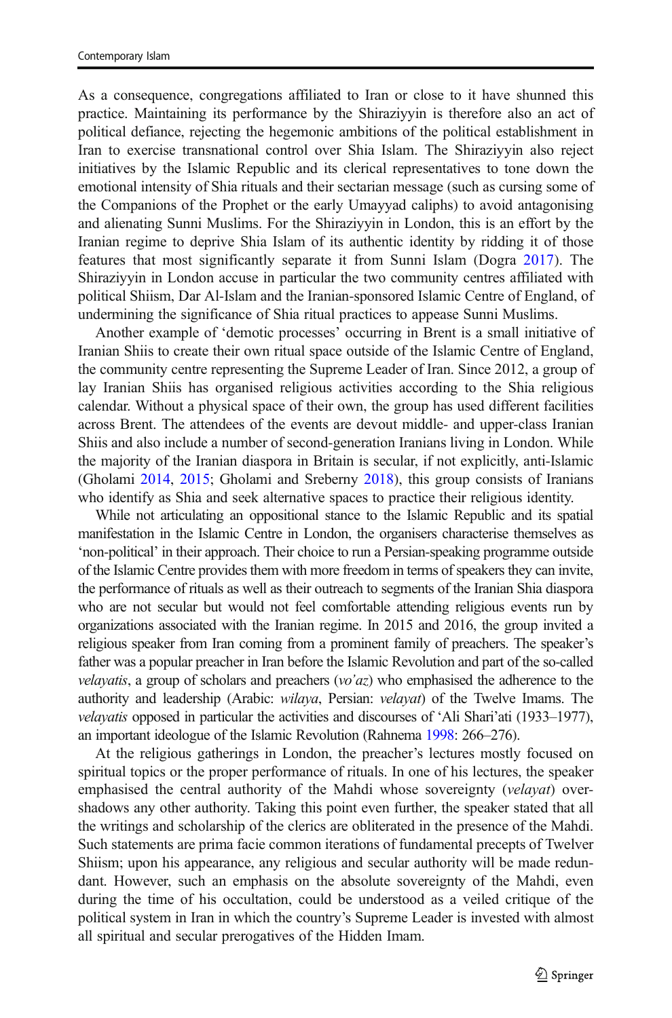As a consequence, congregations affiliated to Iran or close to it have shunned this practice. Maintaining its performance by the Shiraziyyin is therefore also an act of political defiance, rejecting the hegemonic ambitions of the political establishment in Iran to exercise transnational control over Shia Islam. The Shiraziyyin also reject initiatives by the Islamic Republic and its clerical representatives to tone down the emotional intensity of Shia rituals and their sectarian message (such as cursing some of the Companions of the Prophet or the early Umayyad caliphs) to avoid antagonising and alienating Sunni Muslims. For the Shiraziyyin in London, this is an effort by the Iranian regime to deprive Shia Islam of its authentic identity by ridding it of those features that most significantly separate it from Sunni Islam (Dogra [2017\)](#page-19-0). The Shiraziyyin in London accuse in particular the two community centres affiliated with political Shiism, Dar Al-Islam and the Iranian-sponsored Islamic Centre of England, of undermining the significance of Shia ritual practices to appease Sunni Muslims.

Another example of 'demotic processes' occurring in Brent is a small initiative of Iranian Shiis to create their own ritual space outside of the Islamic Centre of England, the community centre representing the Supreme Leader of Iran. Since 2012, a group of lay Iranian Shiis has organised religious activities according to the Shia religious calendar. Without a physical space of their own, the group has used different facilities across Brent. The attendees of the events are devout middle- and upper-class Iranian Shiis and also include a number of second-generation Iranians living in London. While the majority of the Iranian diaspora in Britain is secular, if not explicitly, anti-Islamic (Gholami [2014](#page-19-0), [2015](#page-19-0); Gholami and Sreberny [2018\)](#page-19-0), this group consists of Iranians who identify as Shia and seek alternative spaces to practice their religious identity.

While not articulating an oppositional stance to the Islamic Republic and its spatial manifestation in the Islamic Centre in London, the organisers characterise themselves as 'non-political' in their approach. Their choice to run a Persian-speaking programme outside of the Islamic Centre provides them with more freedom in terms of speakers they can invite, the performance of rituals as well as their outreach to segments of the Iranian Shia diaspora who are not secular but would not feel comfortable attending religious events run by organizations associated with the Iranian regime. In 2015 and 2016, the group invited a religious speaker from Iran coming from a prominent family of preachers. The speaker's father was a popular preacher in Iran before the Islamic Revolution and part of the so-called velayatis, a group of scholars and preachers ( $vo'az$ ) who emphasised the adherence to the authority and leadership (Arabic: wilaya, Persian: velayat) of the Twelve Imams. The velayatis opposed in particular the activities and discourses of 'Ali Shari'ati (1933–1977), an important ideologue of the Islamic Revolution (Rahnema [1998](#page-19-0): 266–276).

At the religious gatherings in London, the preacher's lectures mostly focused on spiritual topics or the proper performance of rituals. In one of his lectures, the speaker emphasised the central authority of the Mahdi whose sovereignty (velayat) overshadows any other authority. Taking this point even further, the speaker stated that all the writings and scholarship of the clerics are obliterated in the presence of the Mahdi. Such statements are prima facie common iterations of fundamental precepts of Twelver Shiism; upon his appearance, any religious and secular authority will be made redundant. However, such an emphasis on the absolute sovereignty of the Mahdi, even during the time of his occultation, could be understood as a veiled critique of the political system in Iran in which the country's Supreme Leader is invested with almost all spiritual and secular prerogatives of the Hidden Imam.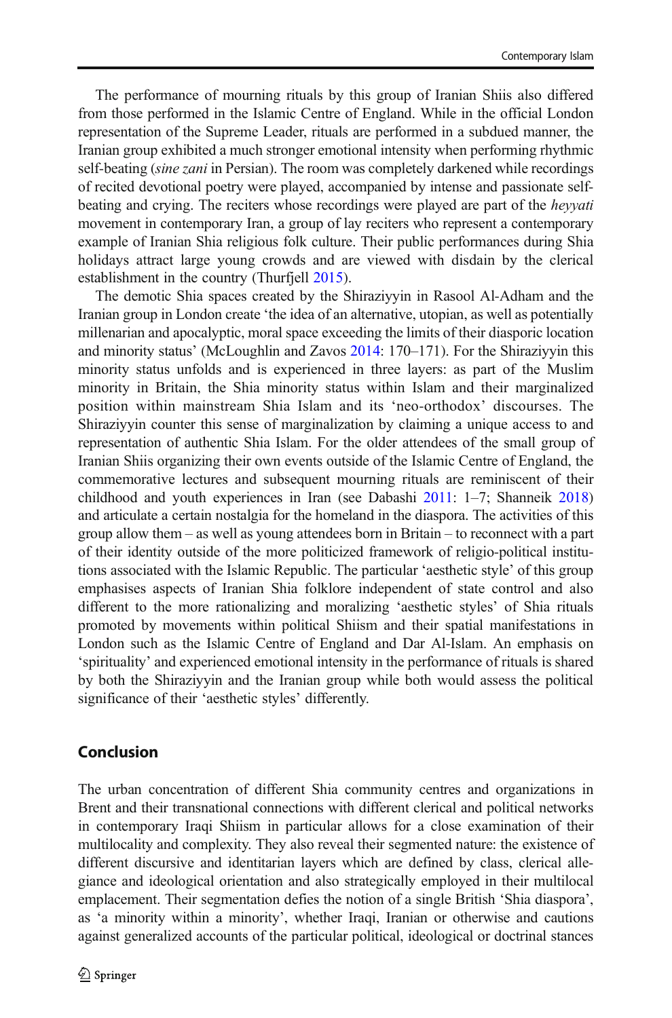The performance of mourning rituals by this group of Iranian Shiis also differed from those performed in the Islamic Centre of England. While in the official London representation of the Supreme Leader, rituals are performed in a subdued manner, the Iranian group exhibited a much stronger emotional intensity when performing rhythmic self-beating *(sine zani* in Persian). The room was completely darkened while recordings of recited devotional poetry were played, accompanied by intense and passionate selfbeating and crying. The reciters whose recordings were played are part of the *heyyati* movement in contemporary Iran, a group of lay reciters who represent a contemporary example of Iranian Shia religious folk culture. Their public performances during Shia holidays attract large young crowds and are viewed with disdain by the clerical establishment in the country (Thurfjell [2015\)](#page-19-0).

The demotic Shia spaces created by the Shiraziyyin in Rasool Al-Adham and the Iranian group in London create 'the idea of an alternative, utopian, as well as potentially millenarian and apocalyptic, moral space exceeding the limits of their diasporic location and minority status' (McLoughlin and Zavos [2014:](#page-19-0) 170–171). For the Shiraziyyin this minority status unfolds and is experienced in three layers: as part of the Muslim minority in Britain, the Shia minority status within Islam and their marginalized position within mainstream Shia Islam and its 'neo-orthodox' discourses. The Shiraziyyin counter this sense of marginalization by claiming a unique access to and representation of authentic Shia Islam. For the older attendees of the small group of Iranian Shiis organizing their own events outside of the Islamic Centre of England, the commemorative lectures and subsequent mourning rituals are reminiscent of their childhood and youth experiences in Iran (see Dabashi [2011](#page-18-0): 1–7; Shanneik [2018](#page-19-0)) and articulate a certain nostalgia for the homeland in the diaspora. The activities of this group allow them – as well as young attendees born in Britain – to reconnect with a part of their identity outside of the more politicized framework of religio-political institutions associated with the Islamic Republic. The particular 'aesthetic style' of this group emphasises aspects of Iranian Shia folklore independent of state control and also different to the more rationalizing and moralizing 'aesthetic styles' of Shia rituals promoted by movements within political Shiism and their spatial manifestations in London such as the Islamic Centre of England and Dar Al-Islam. An emphasis on 'spirituality' and experienced emotional intensity in the performance of rituals is shared by both the Shiraziyyin and the Iranian group while both would assess the political significance of their 'aesthetic styles' differently.

## Conclusion

The urban concentration of different Shia community centres and organizations in Brent and their transnational connections with different clerical and political networks in contemporary Iraqi Shiism in particular allows for a close examination of their multilocality and complexity. They also reveal their segmented nature: the existence of different discursive and identitarian layers which are defined by class, clerical allegiance and ideological orientation and also strategically employed in their multilocal emplacement. Their segmentation defies the notion of a single British 'Shia diaspora', as 'a minority within a minority', whether Iraqi, Iranian or otherwise and cautions against generalized accounts of the particular political, ideological or doctrinal stances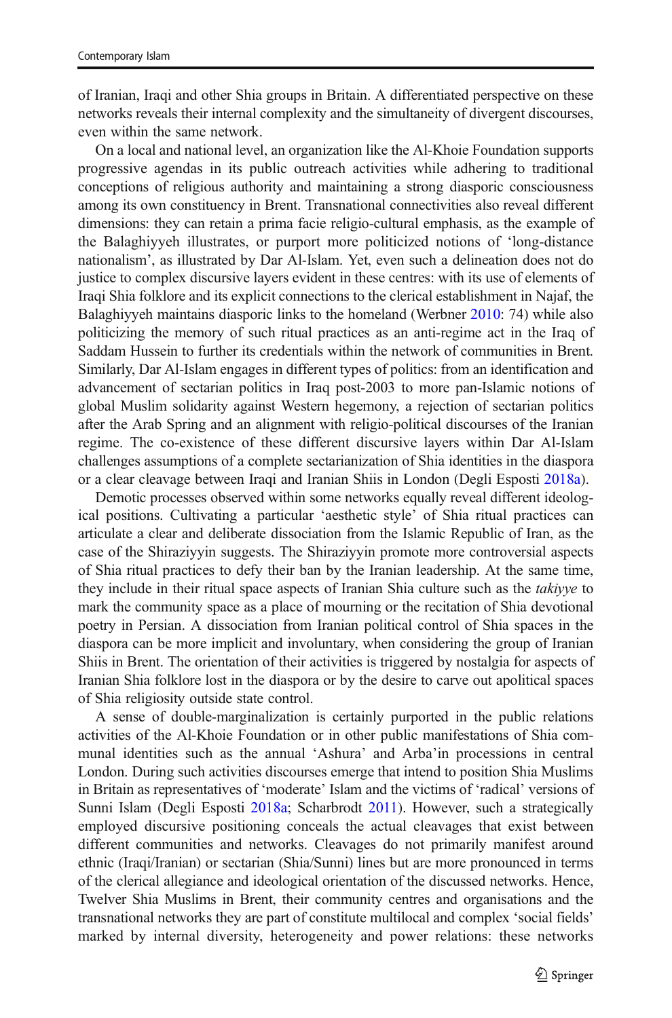of Iranian, Iraqi and other Shia groups in Britain. A differentiated perspective on these networks reveals their internal complexity and the simultaneity of divergent discourses, even within the same network.

On a local and national level, an organization like the Al-Khoie Foundation supports progressive agendas in its public outreach activities while adhering to traditional conceptions of religious authority and maintaining a strong diasporic consciousness among its own constituency in Brent. Transnational connectivities also reveal different dimensions: they can retain a prima facie religio-cultural emphasis, as the example of the Balaghiyyeh illustrates, or purport more politicized notions of 'long-distance nationalism', as illustrated by Dar Al-Islam. Yet, even such a delineation does not do justice to complex discursive layers evident in these centres: with its use of elements of Iraqi Shia folklore and its explicit connections to the clerical establishment in Najaf, the Balaghiyyeh maintains diasporic links to the homeland (Werbner [2010](#page-19-0): 74) while also politicizing the memory of such ritual practices as an anti-regime act in the Iraq of Saddam Hussein to further its credentials within the network of communities in Brent. Similarly, Dar Al-Islam engages in different types of politics: from an identification and advancement of sectarian politics in Iraq post-2003 to more pan-Islamic notions of global Muslim solidarity against Western hegemony, a rejection of sectarian politics after the Arab Spring and an alignment with religio-political discourses of the Iranian regime. The co-existence of these different discursive layers within Dar Al-Islam challenges assumptions of a complete sectarianization of Shia identities in the diaspora or a clear cleavage between Iraqi and Iranian Shiis in London (Degli Esposti [2018a\)](#page-18-0).

Demotic processes observed within some networks equally reveal different ideological positions. Cultivating a particular 'aesthetic style' of Shia ritual practices can articulate a clear and deliberate dissociation from the Islamic Republic of Iran, as the case of the Shiraziyyin suggests. The Shiraziyyin promote more controversial aspects of Shia ritual practices to defy their ban by the Iranian leadership. At the same time, they include in their ritual space aspects of Iranian Shia culture such as the *takiyye* to mark the community space as a place of mourning or the recitation of Shia devotional poetry in Persian. A dissociation from Iranian political control of Shia spaces in the diaspora can be more implicit and involuntary, when considering the group of Iranian Shiis in Brent. The orientation of their activities is triggered by nostalgia for aspects of Iranian Shia folklore lost in the diaspora or by the desire to carve out apolitical spaces of Shia religiosity outside state control.

A sense of double-marginalization is certainly purported in the public relations activities of the Al-Khoie Foundation or in other public manifestations of Shia communal identities such as the annual 'Ashura' and Arba'in processions in central London. During such activities discourses emerge that intend to position Shia Muslims in Britain as representatives of 'moderate' Islam and the victims of 'radical' versions of Sunni Islam (Degli Esposti [2018a;](#page-18-0) Scharbrodt [2011](#page-19-0)). However, such a strategically employed discursive positioning conceals the actual cleavages that exist between different communities and networks. Cleavages do not primarily manifest around ethnic (Iraqi/Iranian) or sectarian (Shia/Sunni) lines but are more pronounced in terms of the clerical allegiance and ideological orientation of the discussed networks. Hence, Twelver Shia Muslims in Brent, their community centres and organisations and the transnational networks they are part of constitute multilocal and complex 'social fields' marked by internal diversity, heterogeneity and power relations: these networks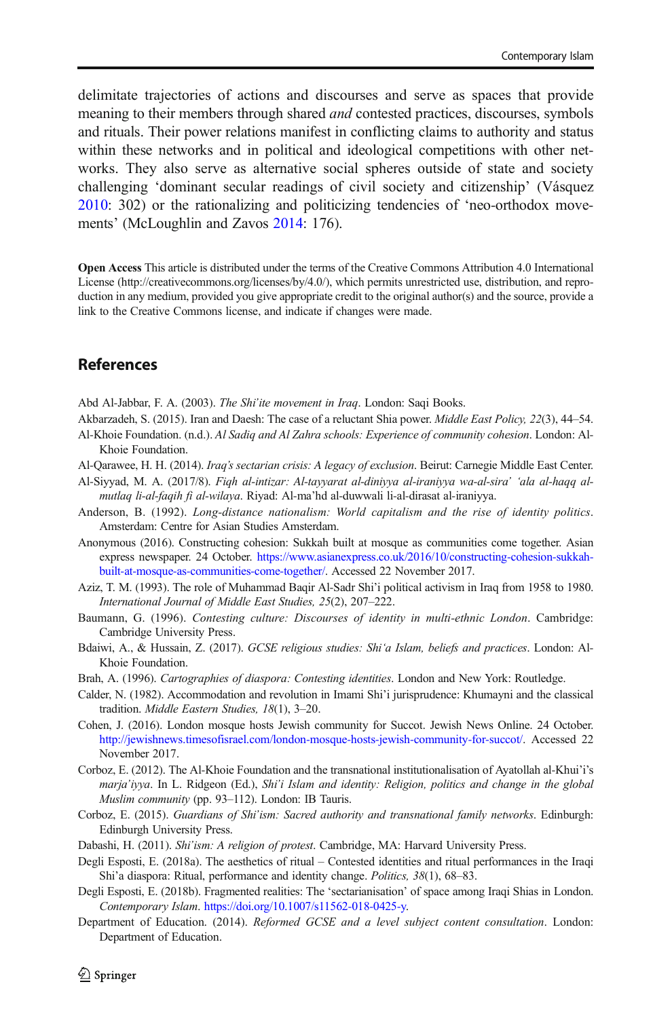<span id="page-18-0"></span>delimitate trajectories of actions and discourses and serve as spaces that provide meaning to their members through shared *and* contested practices, discourses, symbols and rituals. Their power relations manifest in conflicting claims to authority and status within these networks and in political and ideological competitions with other networks. They also serve as alternative social spheres outside of state and society challenging 'dominant secular readings of civil society and citizenship' (Vásquez [2010:](#page-19-0) 302) or the rationalizing and politicizing tendencies of 'neo-orthodox movements' (McLoughlin and Zavos [2014](#page-19-0): 176).

Open Access This article is distributed under the terms of the Creative Commons Attribution 4.0 International License (http://creativecommons.org/licenses/by/4.0/), which permits unrestricted use, distribution, and reproduction in any medium, provided you give appropriate credit to the original author(s) and the source, provide a link to the Creative Commons license, and indicate if changes were made.

## References

Abd Al-Jabbar, F. A. (2003). The Shi'ite movement in Iraq. London: Saqi Books.

- Akbarzadeh, S. (2015). Iran and Daesh: The case of a reluctant Shia power. Middle East Policy, 22(3), 44–54.
- Al-Khoie Foundation. (n.d.). Al Sadiq and Al Zahra schools: Experience of community cohesion. London: Al-Khoie Foundation.
- Al-Qarawee, H. H. (2014). Iraq's sectarian crisis: A legacy of exclusion. Beirut: Carnegie Middle East Center.
- Al-Siyyad, M. A. (2017/8). Fiqh al-intizar: Al-tayyarat al-diniyya al-iraniyya wa-al-sira' 'ala al-haqq almutlaq li-al-faqih fi al-wilaya. Riyad: Al-ma'hd al-duwwali li-al-dirasat al-iraniyya.
- Anderson, B. (1992). Long-distance nationalism: World capitalism and the rise of identity politics. Amsterdam: Centre for Asian Studies Amsterdam.
- Anonymous (2016). Constructing cohesion: Sukkah built at mosque as communities come together. Asian express newspaper. 24 October. [https://www.asianexpress.co.uk/2016/10/constructing-cohesion-sukkah](https://www.asianexpress.co.uk/2016/10/constructing-cohesion-sukkah-built-at-mosque-as-communities-come-together/)[built-at-mosque-as-communities-come-together/.](https://www.asianexpress.co.uk/2016/10/constructing-cohesion-sukkah-built-at-mosque-as-communities-come-together/) Accessed 22 November 2017.
- Aziz, T. M. (1993). The role of Muhammad Baqir Al-Sadr Shi'i political activism in Iraq from 1958 to 1980. International Journal of Middle East Studies, 25(2), 207–222.
- Baumann, G. (1996). Contesting culture: Discourses of identity in multi-ethnic London. Cambridge: Cambridge University Press.
- Bdaiwi, A., & Hussain, Z. (2017). GCSE religious studies: Shi'a Islam, beliefs and practices. London: Al-Khoie Foundation.
- Brah, A. (1996). Cartographies of diaspora: Contesting identities. London and New York: Routledge.
- Calder, N. (1982). Accommodation and revolution in Imami Shi'i jurisprudence: Khumayni and the classical tradition. Middle Eastern Studies, 18(1), 3–20.
- Cohen, J. (2016). London mosque hosts Jewish community for Succot. Jewish News Online. 24 October. [http://jewishnews.timesofisrael.com/london-mosque-hosts-jewish-community-for-succot/.](http://jewishnews.timesofisrael.com/london-mosque-hosts-jewish-community-for-succot/) Accessed 22 November 2017.
- Corboz, E. (2012). The Al-Khoie Foundation and the transnational institutionalisation of Ayatollah al-Khui'i's marja'iyya. In L. Ridgeon (Ed.), Shi'i Islam and identity: Religion, politics and change in the global Muslim community (pp. 93–112). London: IB Tauris.
- Corboz, E. (2015). Guardians of Shi'ism: Sacred authority and transnational family networks. Edinburgh: Edinburgh University Press.
- Dabashi, H. (2011). Shi'ism: A religion of protest. Cambridge, MA: Harvard University Press.
- Degli Esposti, E. (2018a). The aesthetics of ritual Contested identities and ritual performances in the Iraqi Shi'a diaspora: Ritual, performance and identity change. Politics, 38(1), 68–83.
- Degli Esposti, E. (2018b). Fragmented realities: The 'sectarianisation' of space among Iraqi Shias in London. Contemporary Islam. [https://doi.org/10.1007/s11562-018-0425-y.](https://doi.org/10.1007/s11562-018-0425-y)
- Department of Education. (2014). Reformed GCSE and a level subject content consultation. London: Department of Education.